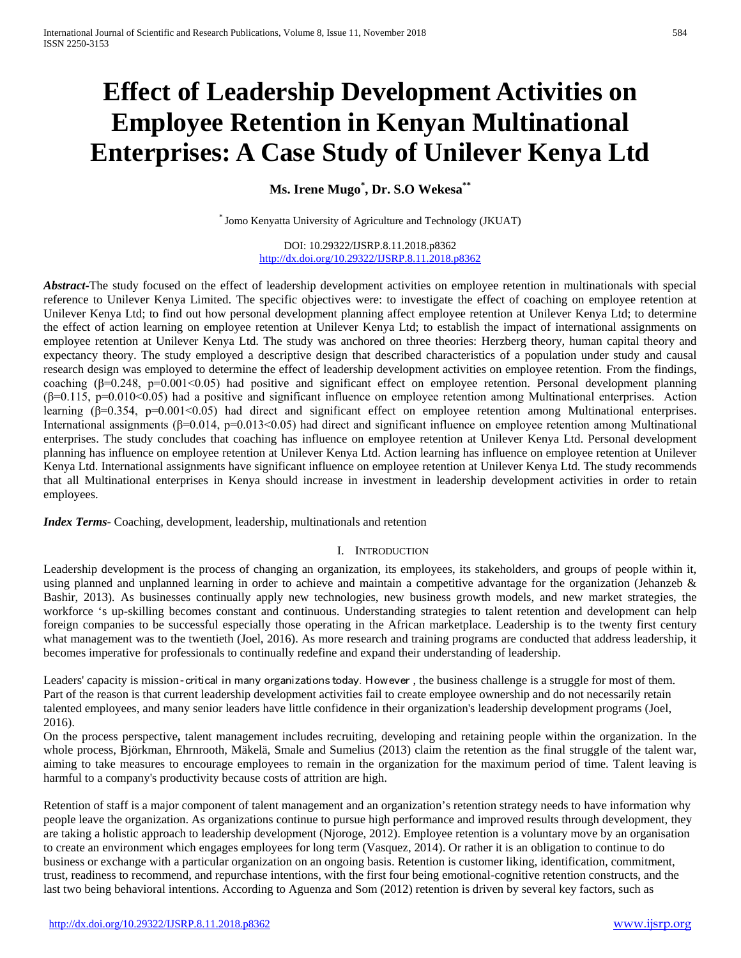# **Effect of Leadership Development Activities on Employee Retention in Kenyan Multinational Enterprises: A Case Study of Unilever Kenya Ltd**

**Ms. Irene Mugo\* , Dr. S.O Wekesa\*\***

\* Jomo Kenyatta University of Agriculture and Technology (JKUAT)

DOI: 10.29322/IJSRP.8.11.2018.p8362 <http://dx.doi.org/10.29322/IJSRP.8.11.2018.p8362>

*Abstract***-**The study focused on the effect of leadership development activities on employee retention in multinationals with special reference to Unilever Kenya Limited. The specific objectives were: to investigate the effect of coaching on employee retention at Unilever Kenya Ltd; to find out how personal development planning affect employee retention at Unilever Kenya Ltd; to determine the effect of action learning on employee retention at Unilever Kenya Ltd; to establish the impact of international assignments on employee retention at Unilever Kenya Ltd. The study was anchored on three theories: Herzberg theory, human capital theory and expectancy theory. The study employed a descriptive design that described characteristics of a population under study and causal research design was employed to determine the effect of leadership development activities on employee retention. From the findings, coaching (β=0.248, p=0.001<0.05) had positive and significant effect on employee retention. Personal development planning  $(\beta=0.115, p=0.010<0.05)$  had a positive and significant influence on employee retention among Multinational enterprises. Action learning  $(β=0.354, p=0.001<0.05)$  had direct and significant effect on employee retention among Multinational enterprises. International assignments (β=0.014, p=0.013<0.05) had direct and significant influence on employee retention among Multinational enterprises. The study concludes that coaching has influence on employee retention at Unilever Kenya Ltd. Personal development planning has influence on employee retention at Unilever Kenya Ltd. Action learning has influence on employee retention at Unilever Kenya Ltd. International assignments have significant influence on employee retention at Unilever Kenya Ltd. The study recommends that all Multinational enterprises in Kenya should increase in investment in leadership development activities in order to retain employees.

*Index Terms*- Coaching, development, leadership, multinationals and retention

#### I. INTRODUCTION

Leadership development is the process of changing an organization, its employees, its stakeholders, and groups of people within it, using planned and unplanned learning in order to achieve and maintain a competitive advantage for the organization (Jehanzeb & Bashir, 2013)*.* As businesses continually apply new technologies, new business growth models, and new market strategies, the workforce 's up-skilling becomes constant and continuous. Understanding strategies to talent retention and development can help foreign companies to be successful especially those operating in the African marketplace. Leadership is to the twenty first century what management was to the twentieth (Joel, 2016). As more research and training programs are conducted that address leadership, it becomes imperative for professionals to continually redefine and expand their understanding of leadership.

Leaders' capacity is mission-critical in many organizations today. However, the business challenge is a struggle for most of them. Part of the reason is that current leadership development activities fail to create employee ownership and do not necessarily retain talented employees, and many senior leaders have little confidence in their organization's leadership development programs (Joel, 2016).

On the process perspective**,** talent management includes recruiting, developing and retaining people within the organization. In the whole process, Björkman, Ehrnrooth, Mäkelä, Smale and Sumelius (2013) claim the retention as the final struggle of the talent war, aiming to take measures to encourage employees to remain in the organization for the maximum period of time. Talent leaving is harmful to a company's productivity because costs of attrition are high.

Retention of staff is a major component of talent management and an organization's retention strategy needs to have information why people leave the organization. As organizations continue to pursue high performance and improved results through development, they are taking a holistic approach to leadership development (Njoroge, 2012). Employee retention is a voluntary move by an organisation to create an environment which engages employees for long term (Vasquez, 2014). Or rather it is an obligation to continue to do business or exchange with a particular organization on an ongoing basis. Retention is customer liking, identification, commitment, trust, readiness to recommend, and repurchase intentions, with the first four being emotional-cognitive retention constructs, and the last two being behavioral intentions. According to Aguenza and Som (2012) retention is driven by several key factors, such as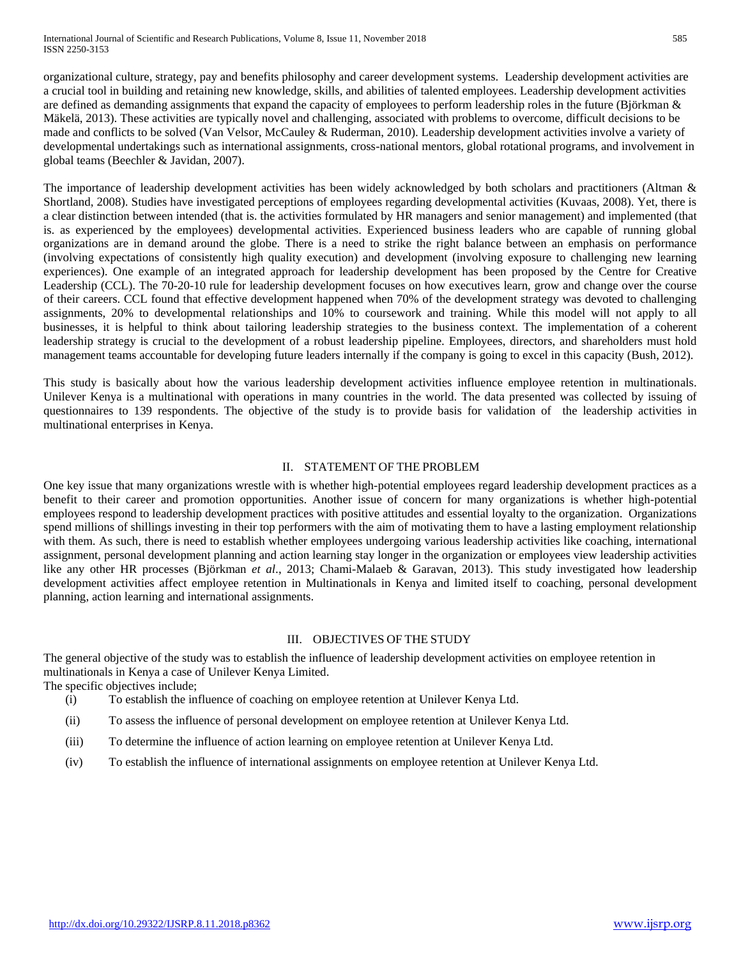organizational culture, strategy, pay and benefits philosophy and career development systems. Leadership development activities are a crucial tool in building and retaining new knowledge, skills, and abilities of talented employees. Leadership development activities are defined as demanding assignments that expand the capacity of employees to perform leadership roles in the future (Björkman & Mäkelä, 2013). These activities are typically novel and challenging, associated with problems to overcome, difficult decisions to be made and conflicts to be solved (Van Velsor, McCauley & Ruderman, 2010). Leadership development activities involve a variety of developmental undertakings such as international assignments, cross-national mentors, global rotational programs, and involvement in global teams (Beechler & Javidan, 2007).

The importance of leadership development activities has been widely acknowledged by both scholars and practitioners (Altman & Shortland, 2008). Studies have investigated perceptions of employees regarding developmental activities (Kuvaas, 2008). Yet, there is a clear distinction between intended (that is. the activities formulated by HR managers and senior management) and implemented (that is. as experienced by the employees) developmental activities. Experienced business leaders who are capable of running global organizations are in demand around the globe. There is a need to strike the right balance between an emphasis on performance (involving expectations of consistently high quality execution) and development (involving exposure to challenging new learning experiences). One example of an integrated approach for leadership development has been proposed by the Centre for Creative Leadership (CCL). [The 70-20-10 rule for leadership development](http://www.ccl.org/Leadership/pdf/research/GroomingTopLeaders.pdf) focuses on how executives learn, grow and change over the course of their careers. CCL found that effective development happened when 70% of the development strategy was devoted to challenging assignments, 20% to developmental relationships and 10% to coursework and training. While this model will not apply to all businesses, it is helpful to think about tailoring leadership strategies to the business context. The implementation of a coherent leadership strategy is crucial to the development of a robust leadership pipeline. Employees, directors, and shareholders must hold management teams accountable for developing future leaders internally if the company is going to excel in this capacity (Bush, 2012).

This study is basically about how the various leadership development activities influence employee retention in multinationals. Unilever Kenya is a multinational with operations in many countries in the world. The data presented was collected by issuing of questionnaires to 139 respondents. The objective of the study is to provide basis for validation of the leadership activities in multinational enterprises in Kenya.

## II. STATEMENT OF THE PROBLEM

One key issue that many organizations wrestle with is whether high-potential employees regard leadership development practices as a benefit to their career and promotion opportunities. Another issue of concern for many organizations is whether high-potential employees respond to leadership development practices with positive attitudes and essential loyalty to the organization. Organizations spend millions of shillings investing in their top performers with the aim of motivating them to have a lasting employment relationship with them. As such, there is need to establish whether employees undergoing various leadership activities like coaching, international assignment, personal development planning and action learning stay longer in the organization or employees view leadership activities like any other HR processes (Björkman *et al*., 2013; Chami-Malaeb & Garavan, 2013). This study investigated how leadership development activities affect employee retention in Multinationals in Kenya and limited itself to coaching, personal development planning, action learning and international assignments.

## III. OBJECTIVES OF THE STUDY

The general objective of the study was to establish the influence of leadership development activities on employee retention in multinationals in Kenya a case of Unilever Kenya Limited.

The specific objectives include;

- (i) To establish the influence of coaching on employee retention at Unilever Kenya Ltd.
- (ii) To assess the influence of personal development on employee retention at Unilever Kenya Ltd.
- (iii) To determine the influence of action learning on employee retention at Unilever Kenya Ltd.
- (iv) To establish the influence of international assignments on employee retention at Unilever Kenya Ltd.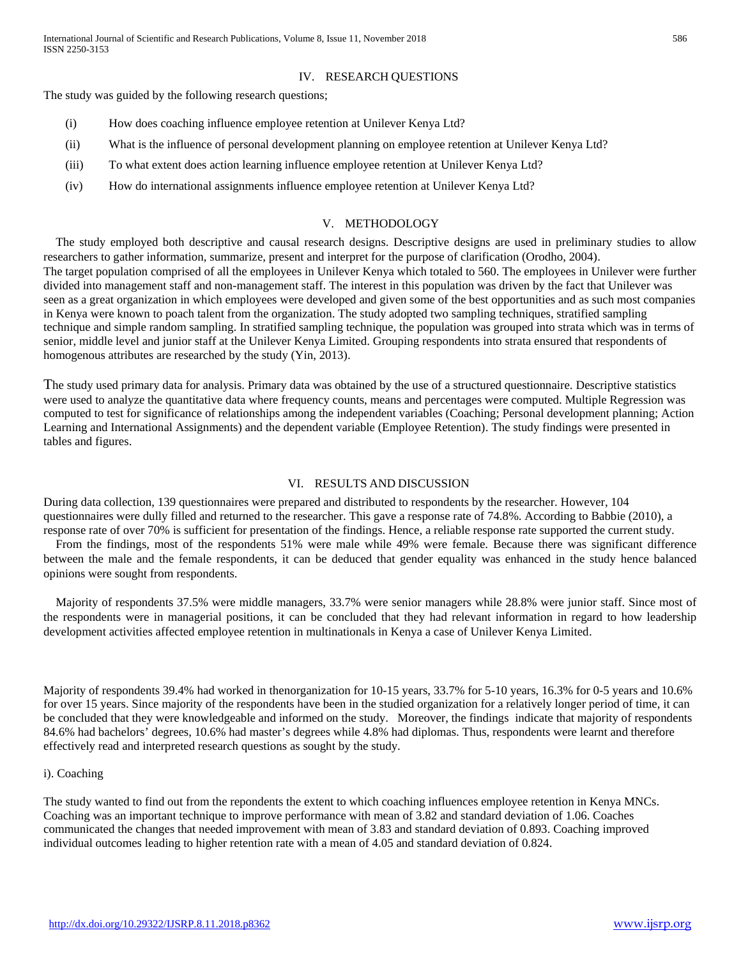## IV. RESEARCH QUESTIONS

The study was guided by the following research questions;

- (i) How does coaching influence employee retention at Unilever Kenya Ltd?
- (ii) What is the influence of personal development planning on employee retention at Unilever Kenya Ltd?
- (iii) To what extent does action learning influence employee retention at Unilever Kenya Ltd?
- (iv) How do international assignments influence employee retention at Unilever Kenya Ltd?

#### V. METHODOLOGY

The study employed both descriptive and causal research designs. Descriptive designs are used in preliminary studies to allow researchers to gather information, summarize, present and interpret for the purpose of clarification (Orodho, 2004). The target population comprised of all the employees in Unilever Kenya which totaled to 560. The employees in Unilever were further divided into management staff and non-management staff. The interest in this population was driven by the fact that Unilever was seen as a great organization in which employees were developed and given some of the best opportunities and as such most companies in Kenya were known to poach talent from the organization. The study adopted two sampling techniques, stratified sampling technique and simple random sampling. In stratified sampling technique, the population was grouped into strata which was in terms of senior, middle level and junior staff at the Unilever Kenya Limited. Grouping respondents into strata ensured that respondents of homogenous attributes are researched by the study (Yin, 2013).

The study used primary data for analysis. Primary data was obtained by the use of a structured questionnaire. Descriptive statistics were used to analyze the quantitative data where frequency counts, means and percentages were computed. Multiple Regression was computed to test for significance of relationships among the independent variables (Coaching; Personal development planning; Action Learning and International Assignments) and the dependent variable (Employee Retention). The study findings were presented in tables and figures.

#### VI. RESULTS AND DISCUSSION

During data collection, 139 questionnaires were prepared and distributed to respondents by the researcher. However, 104 questionnaires were dully filled and returned to the researcher. This gave a response rate of 74.8%. According to Babbie (2010), a response rate of over 70% is sufficient for presentation of the findings. Hence, a reliable response rate supported the current study. From the findings, most of the respondents 51% were male while 49% were female. Because there was significant difference

between the male and the female respondents, it can be deduced that gender equality was enhanced in the study hence balanced opinions were sought from respondents.

Majority of respondents 37.5% were middle managers, 33.7% were senior managers while 28.8% were junior staff. Since most of the respondents were in managerial positions, it can be concluded that they had relevant information in regard to how leadership development activities affected employee retention in multinationals in Kenya a case of Unilever Kenya Limited.

Majority of respondents 39.4% had worked in thenorganization for 10-15 years, 33.7% for 5-10 years, 16.3% for 0-5 years and 10.6% for over 15 years. Since majority of the respondents have been in the studied organization for a relatively longer period of time, it can be concluded that they were knowledgeable and informed on the study. Moreover, the findings indicate that majority of respondents 84.6% had bachelors' degrees, 10.6% had master's degrees while 4.8% had diplomas. Thus, respondents were learnt and therefore effectively read and interpreted research questions as sought by the study.

#### i). Coaching

The study wanted to find out from the repondents the extent to which coaching influences employee retention in Kenya MNCs. Coaching was an important technique to improve performance with mean of 3.82 and standard deviation of 1.06. Coaches communicated the changes that needed improvement with mean of 3.83 and standard deviation of 0.893. Coaching improved individual outcomes leading to higher retention rate with a mean of 4.05 and standard deviation of 0.824.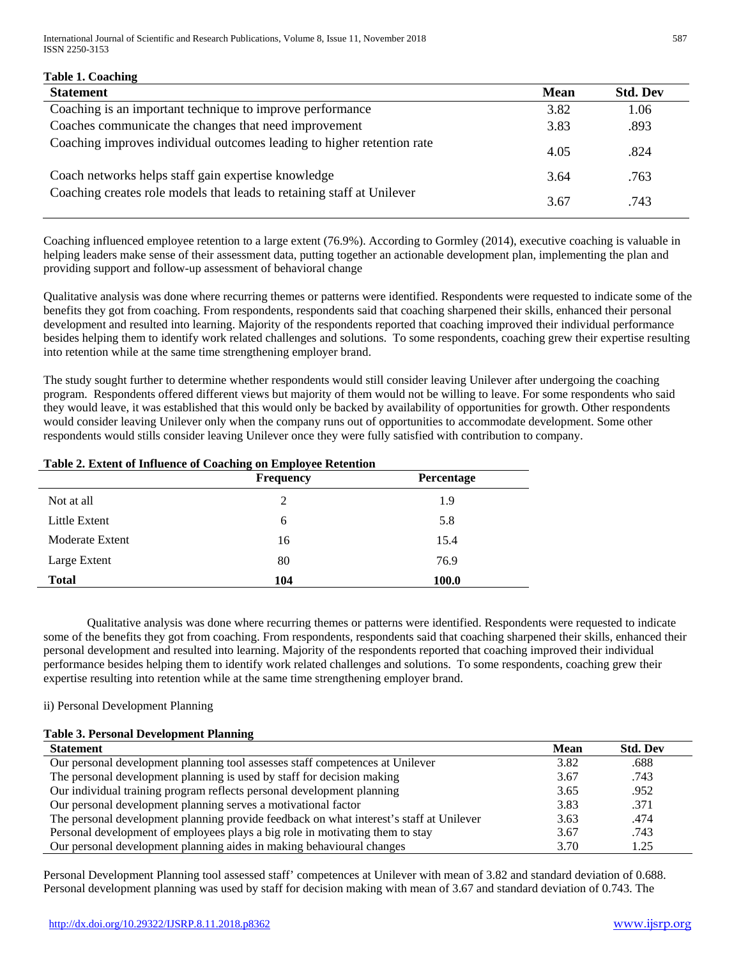International Journal of Scientific and Research Publications, Volume 8, Issue 11, November 2018 587 ISSN 2250-3153

| <b>Table 1. Coaching</b>                                               |      |                 |
|------------------------------------------------------------------------|------|-----------------|
| <b>Statement</b>                                                       | Mean | <b>Std. Dev</b> |
| Coaching is an important technique to improve performance              | 3.82 | 1.06            |
| Coaches communicate the changes that need improvement                  | 3.83 | .893            |
| Coaching improves individual outcomes leading to higher retention rate | 4.05 | .824            |
| Coach networks helps staff gain expertise knowledge                    | 3.64 | .763            |
| Coaching creates role models that leads to retaining staff at Unilever | 3.67 | .743            |

Coaching influenced employee retention to a large extent (76.9%). According to Gormley (2014), executive coaching is valuable in helping leaders make sense of their assessment data, putting together an actionable development plan, implementing the plan and providing support and follow-up assessment of behavioral change

Qualitative analysis was done where recurring themes or patterns were identified. Respondents were requested to indicate some of the benefits they got from coaching. From respondents, respondents said that coaching sharpened their skills, enhanced their personal development and resulted into learning. Majority of the respondents reported that coaching improved their individual performance besides helping them to identify work related challenges and solutions. To some respondents, coaching grew their expertise resulting into retention while at the same time strengthening employer brand.

The study sought further to determine whether respondents would still consider leaving Unilever after undergoing the coaching program. Respondents offered different views but majority of them would not be willing to leave. For some respondents who said they would leave, it was established that this would only be backed by availability of opportunities for growth. Other respondents would consider leaving Unilever only when the company runs out of opportunities to accommodate development. Some other respondents would stills consider leaving Unilever once they were fully satisfied with contribution to company.

## **Table 2. Extent of Influence of Coaching on Employee Retention**

|                 | <b>Frequency</b> | Percentage   |
|-----------------|------------------|--------------|
| Not at all      | 2                | 1.9          |
| Little Extent   | 6                | 5.8          |
| Moderate Extent | 16               | 15.4         |
| Large Extent    | 80               | 76.9         |
| <b>Total</b>    | 104              | <b>100.0</b> |

Qualitative analysis was done where recurring themes or patterns were identified. Respondents were requested to indicate some of the benefits they got from coaching. From respondents, respondents said that coaching sharpened their skills, enhanced their personal development and resulted into learning. Majority of the respondents reported that coaching improved their individual performance besides helping them to identify work related challenges and solutions. To some respondents, coaching grew their expertise resulting into retention while at the same time strengthening employer brand.

#### ii) Personal Development Planning

# **Table 3. Personal Development Planning**

| <b>Statement</b>                                                                        | <b>Mean</b> | <b>Std. Dev</b> |
|-----------------------------------------------------------------------------------------|-------------|-----------------|
| Our personal development planning tool assesses staff competences at Unilever           | 3.82        | .688            |
| The personal development planning is used by staff for decision making                  | 3.67        | .743            |
| Our individual training program reflects personal development planning                  | 3.65        | .952            |
| Our personal development planning serves a motivational factor                          | 3.83        | .371            |
| The personal development planning provide feedback on what interest's staff at Unilever | 3.63        | .474            |
| Personal development of employees plays a big role in motivating them to stay           | 3.67        | .743            |
| Our personal development planning aides in making behavioural changes                   | 3.70        | 1.25            |

Personal Development Planning tool assessed staff' competences at Unilever with mean of 3.82 and standard deviation of 0.688. Personal development planning was used by staff for decision making with mean of 3.67 and standard deviation of 0.743. The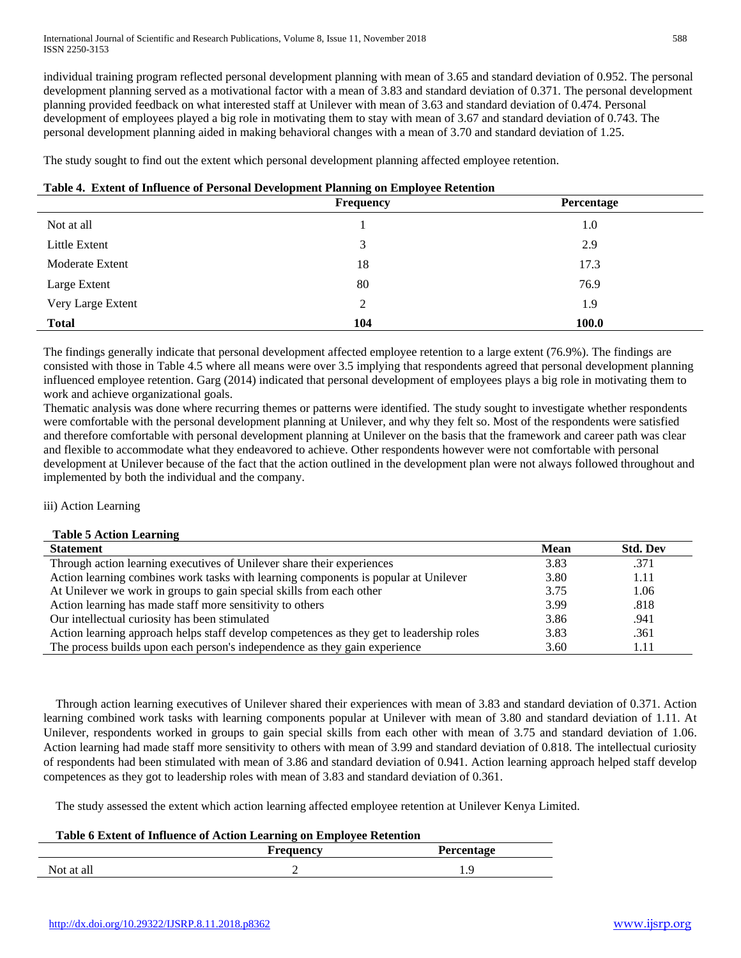individual training program reflected personal development planning with mean of 3.65 and standard deviation of 0.952. The personal development planning served as a motivational factor with a mean of 3.83 and standard deviation of 0.371. The personal development planning provided feedback on what interested staff at Unilever with mean of 3.63 and standard deviation of 0.474. Personal development of employees played a big role in motivating them to stay with mean of 3.67 and standard deviation of 0.743. The personal development planning aided in making behavioral changes with a mean of 3.70 and standard deviation of 1.25.

The study sought to find out the extent which personal development planning affected employee retention.

|  |  |  |  |  | Table 4. Extent of Influence of Personal Development Planning on Employee Retention |
|--|--|--|--|--|-------------------------------------------------------------------------------------|
|--|--|--|--|--|-------------------------------------------------------------------------------------|

|                   | $\overline{\phantom{a}}$<br>Frequency | Percentage |
|-------------------|---------------------------------------|------------|
| Not at all        |                                       | 1.0        |
| Little Extent     | 3                                     | 2.9        |
| Moderate Extent   | 18                                    | 17.3       |
| Large Extent      | 80                                    | 76.9       |
| Very Large Extent | 2                                     | 1.9        |
| <b>Total</b>      | 104                                   | 100.0      |

The findings generally indicate that personal development affected employee retention to a large extent (76.9%). The findings are consisted with those in Table 4.5 where all means were over 3.5 implying that respondents agreed that personal development planning influenced employee retention. Garg (2014) indicated that personal development of employees plays a big role in motivating them to work and achieve organizational goals.

Thematic analysis was done where recurring themes or patterns were identified. The study sought to investigate whether respondents were comfortable with the personal development planning at Unilever, and why they felt so. Most of the respondents were satisfied and therefore comfortable with personal development planning at Unilever on the basis that the framework and career path was clear and flexible to accommodate what they endeavored to achieve. Other respondents however were not comfortable with personal development at Unilever because of the fact that the action outlined in the development plan were not always followed throughout and implemented by both the individual and the company.

iii) Action Learning

# **Table 5 Action Learning**

| <b>Statement</b>                                                                         | Mean | <b>Std. Dev</b> |
|------------------------------------------------------------------------------------------|------|-----------------|
| Through action learning executives of Unilever share their experiences                   | 3.83 | .371            |
| Action learning combines work tasks with learning components is popular at Unilever      | 3.80 | 1.11            |
| At Unilever we work in groups to gain special skills from each other                     | 3.75 | 1.06            |
| Action learning has made staff more sensitivity to others                                | 3.99 | .818            |
| Our intellectual curiosity has been stimulated                                           | 3.86 | .941            |
| Action learning approach helps staff develop competences as they get to leadership roles | 3.83 | .361            |
| The process builds upon each person's independence as they gain experience               | 3.60 | 1.11            |

Through action learning executives of Unilever shared their experiences with mean of 3.83 and standard deviation of 0.371. Action learning combined work tasks with learning components popular at Unilever with mean of 3.80 and standard deviation of 1.11. At Unilever, respondents worked in groups to gain special skills from each other with mean of 3.75 and standard deviation of 1.06. Action learning had made staff more sensitivity to others with mean of 3.99 and standard deviation of 0.818. The intellectual curiosity of respondents had been stimulated with mean of 3.86 and standard deviation of 0.941. Action learning approach helped staff develop competences as they got to leadership roles with mean of 3.83 and standard deviation of 0.361.

The study assessed the extent which action learning affected employee retention at Unilever Kenya Limited.

| Table 6 Extent of Influence of Action Learning on Employee Retention |           |                   |  |
|----------------------------------------------------------------------|-----------|-------------------|--|
|                                                                      | Frequency | <b>Percentage</b> |  |
| Not at all                                                           |           | ΙQ                |  |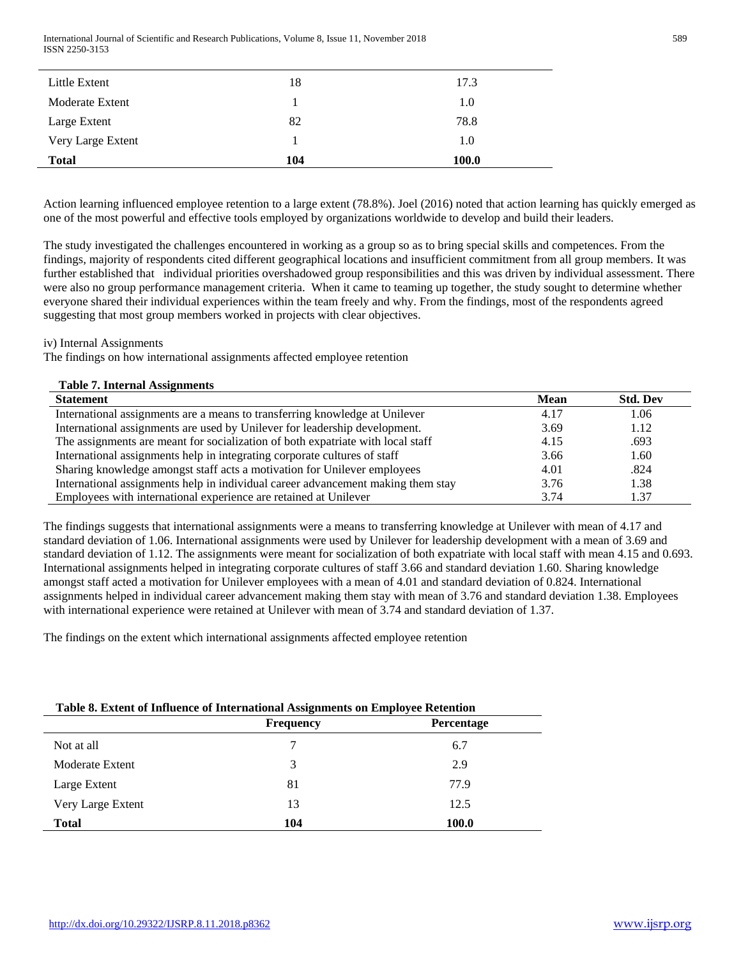International Journal of Scientific and Research Publications, Volume 8, Issue 11, November 2018 589 ISSN 2250-3153

| Little Extent     | 18  | 17.3  |
|-------------------|-----|-------|
| Moderate Extent   |     | 1.0   |
| Large Extent      | 82  | 78.8  |
| Very Large Extent |     | 1.0   |
| <b>Total</b>      | 104 | 100.0 |

Action learning influenced employee retention to a large extent (78.8%). Joel (2016) noted that action learning has quickly emerged as one of the most powerful and effective tools employed by organizations worldwide to develop and build their leaders.

The study investigated the challenges encountered in working as a group so as to bring special skills and competences. From the findings, majority of respondents cited different geographical locations and insufficient commitment from all group members. It was further established that individual priorities overshadowed group responsibilities and this was driven by individual assessment. There were also no group performance management criteria. When it came to teaming up together, the study sought to determine whether everyone shared their individual experiences within the team freely and why. From the findings, most of the respondents agreed suggesting that most group members worked in projects with clear objectives.

#### iv) Internal Assignments

The findings on how international assignments affected employee retention

| <b>Table 7. Internal Assignments</b>                                             |      |                 |
|----------------------------------------------------------------------------------|------|-----------------|
| <b>Statement</b>                                                                 | Mean | <b>Std. Dev</b> |
| International assignments are a means to transferring knowledge at Unilever      | 4.17 | 1.06            |
| International assignments are used by Unilever for leadership development.       | 3.69 | 1.12            |
| The assignments are meant for socialization of both expatriate with local staff  | 4.15 | .693            |
| International assignments help in integrating corporate cultures of staff        | 3.66 | 1.60            |
| Sharing knowledge amongst staff acts a motivation for Unilever employees         | 4.01 | .824            |
| International assignments help in individual career advancement making them stay | 3.76 | 1.38            |
| Employees with international experience are retained at Unilever                 | 3.74 | 1.37            |

The findings suggests that international assignments were a means to transferring knowledge at Unilever with mean of 4.17 and standard deviation of 1.06. International assignments were used by Unilever for leadership development with a mean of 3.69 and standard deviation of 1.12. The assignments were meant for socialization of both expatriate with local staff with mean 4.15 and 0.693. International assignments helped in integrating corporate cultures of staff 3.66 and standard deviation 1.60. Sharing knowledge amongst staff acted a motivation for Unilever employees with a mean of 4.01 and standard deviation of 0.824. International assignments helped in individual career advancement making them stay with mean of 3.76 and standard deviation 1.38. Employees with international experience were retained at Unilever with mean of 3.74 and standard deviation of 1.37.

The findings on the extent which international assignments affected employee retention

| Table 8. Extent of Influence of International Assignments on Employee Retention |                  |                   |  |
|---------------------------------------------------------------------------------|------------------|-------------------|--|
|                                                                                 | <b>Frequency</b> | <b>Percentage</b> |  |
| Not at all                                                                      |                  | 6.7               |  |
| Moderate Extent                                                                 |                  | 2.9               |  |
| Large Extent                                                                    | 81               | 77.9              |  |
| Very Large Extent                                                               | 13               | 12.5              |  |
| <b>Total</b>                                                                    | 104              | 100.0             |  |